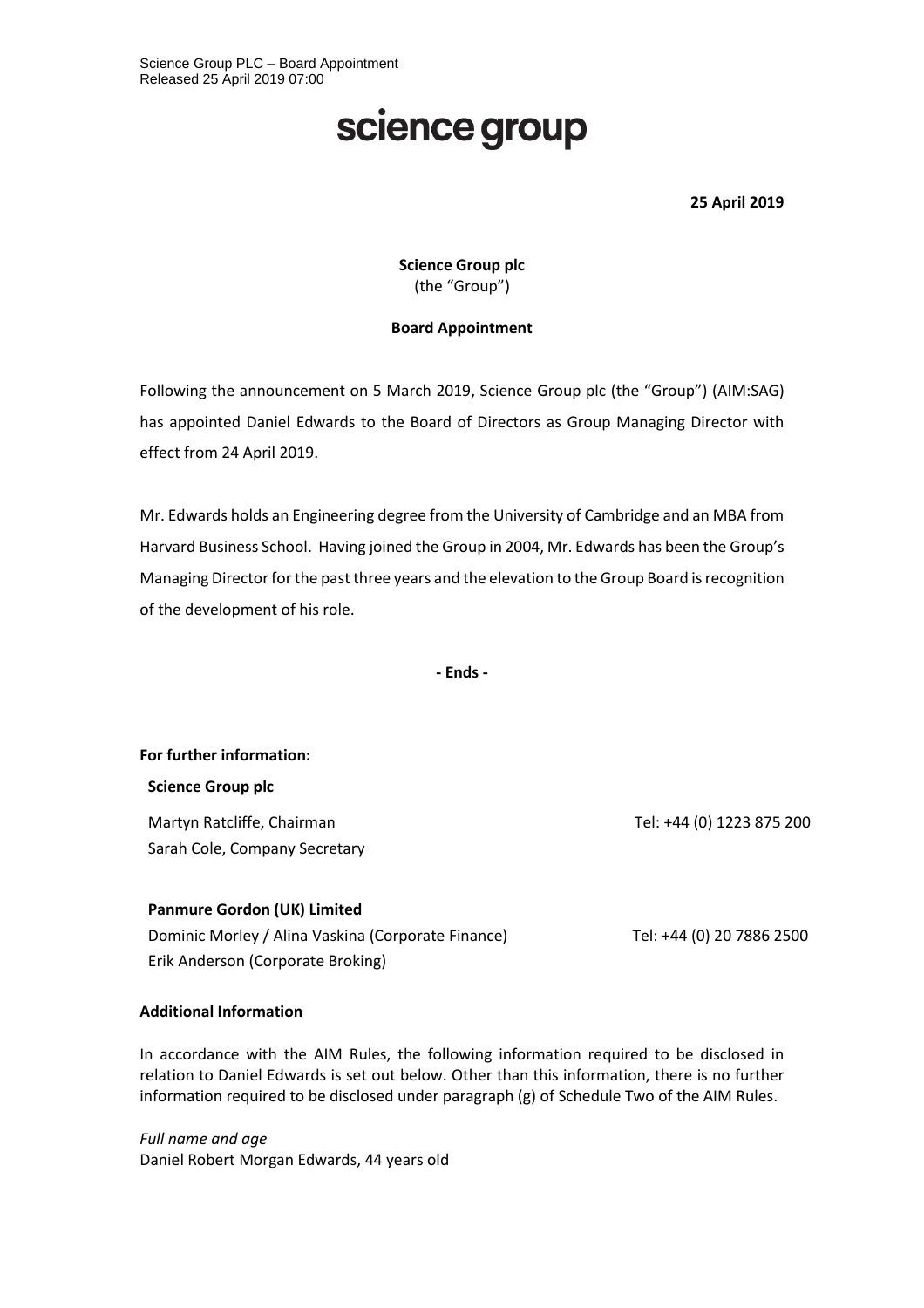## science group

**25 April 2019**

**Science Group plc** (the "Group")

#### **Board Appointment**

Following the announcement on 5 March 2019, Science Group plc (the "Group") (AIM:SAG) has appointed Daniel Edwards to the Board of Directors as Group Managing Director with effect from 24 April 2019.

Mr. Edwards holds an Engineering degree from the University of Cambridge and an MBA from Harvard Business School. Having joined the Group in 2004, Mr. Edwards has been the Group's Managing Director for the past three years and the elevation to the Group Board is recognition of the development of his role.

**- Ends -**

**For further information:**

**Science Group plc**

Martyn Ratcliffe, Chairman Sarah Cole, Company Secretary

#### **Panmure Gordon (UK) Limited**

Dominic Morley / Alina Vaskina (Corporate Finance) Erik Anderson (Corporate Broking)

### **Additional Information**

In accordance with the AIM Rules, the following information required to be disclosed in relation to Daniel Edwards is set out below. Other than this information, there is no further information required to be disclosed under paragraph (g) of Schedule Two of the AIM Rules.

*Full name and age* Daniel Robert Morgan Edwards, 44 years old

Tel: +44 (0) 1223 875 200

Tel: +44 (0) 20 7886 2500